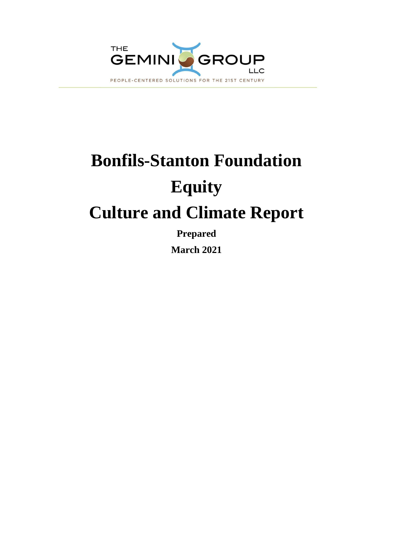

# **Bonfils-Stanton Foundation Equity Culture and Climate Report**

**Prepared**

**March 2021**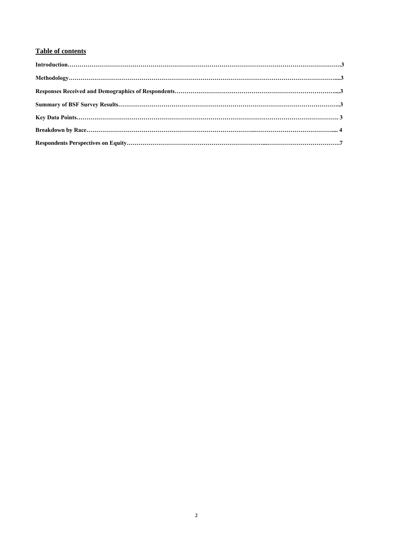# **Table of contents**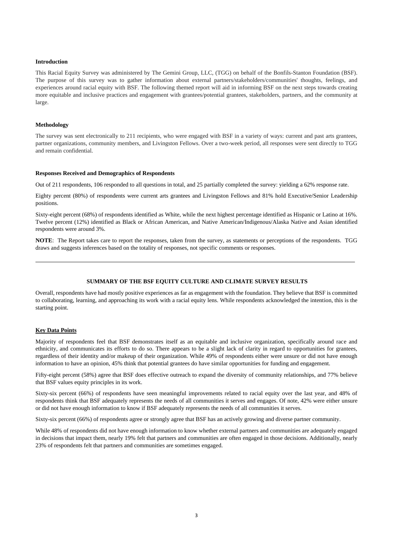#### **Introduction**

This Racial Equity Survey was administered by The Gemini Group, LLC, (TGG) on behalf of the Bonfils-Stanton Foundation (BSF). The purpose of this survey was to gather information about external partners/stakeholders/communities' thoughts, feelings, and experiences around racial equity with BSF. The following themed report will aid in informing BSF on the next steps towards creating more equitable and inclusive practices and engagement with grantees/potential grantees, stakeholders, partners, and the community at large.

#### **Methodology**

The survey was sent electronically to 211 recipients, who were engaged with BSF in a variety of ways: current and past arts grantees, partner organizations, community members, and Livingston Fellows. Over a two-week period, all responses were sent directly to TGG and remain confidential.

#### **Responses Received and Demographics of Respondents**

Out of 211 respondents, 106 responded to all questions in total, and 25 partially completed the survey: yielding a 62% response rate.

Eighty percent (80%) of respondents were current arts grantees and Livingston Fellows and 81% hold Executive/Senior Leadership positions.

Sixty-eight percent (68%) of respondents identified as White, while the next highest percentage identified as Hispanic or Latino at 16%. Twelve percent (12%) identified as Black or African American, and Native American/Indigenous/Alaska Native and Asian identified respondents were around 3%.

**NOTE**: The Report takes care to report the responses, taken from the survey, as statements or perceptions of the respondents. TGG draws and suggests inferences based on the totality of responses, not specific comments or responses.

#### **SUMMARY OF THE BSF EQUITY CULTURE AND CLIMATE SURVEY RESULTS**

Overall, respondents have had mostly positive experiences as far as engagement with the foundation. They believe that BSF is committed to collaborating, learning, and approaching its work with a racial equity lens. While respondents acknowledged the intention, this is the starting point.

#### **Key Data Points**

Majority of respondents feel that BSF demonstrates itself as an equitable and inclusive organization, specifically around race and ethnicity, and communicates its efforts to do so. There appears to be a slight lack of clarity in regard to opportunities for grantees, regardless of their identity and/or makeup of their organization. While 49% of respondents either were unsure or did not have enough information to have an opinion, 45% think that potential grantees do have similar opportunities for funding and engagement.

Fifty-eight percent (58%) agree that BSF does effective outreach to expand the diversity of community relationships, and 77% believe that BSF values equity principles in its work.

Sixty-six percent (66%) of respondents have seen meaningful improvements related to racial equity over the last year, and 48% of respondents think that BSF adequately represents the needs of all communities it serves and engages. Of note, 42% were either unsure or did not have enough information to know if BSF adequately represents the needs of all communities it serves.

Sixty-six percent (66%) of respondents agree or strongly agree that BSF has an actively growing and diverse partner community.

While 48% of respondents did not have enough information to know whether external partners and communities are adequately engaged in decisions that impact them, nearly 19% felt that partners and communities are often engaged in those decisions. Additionally, nearly 23% of respondents felt that partners and communities are sometimes engaged.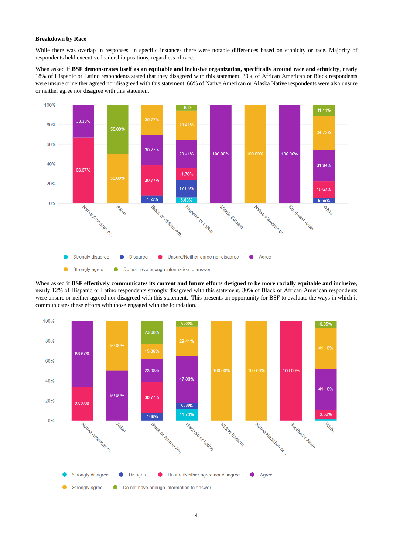### **Breakdown by Race**

While there was overlap in responses, in specific instances there were notable differences based on ethnicity or race. Majority of respondents held executive leadership positions, regardless of race.

When asked if **BSF demonstrates itself as an equitable and inclusive organization, specifically around race and ethnicity**, nearly 18% of Hispanic or Latino respondents stated that they disagreed with this statement. 30% of African American or Black respondents were unsure or neither agreed nor disagreed with this statement. 66% of Native American or Alaska Native respondents were also unsure or neither agree nor disagree with this statement.





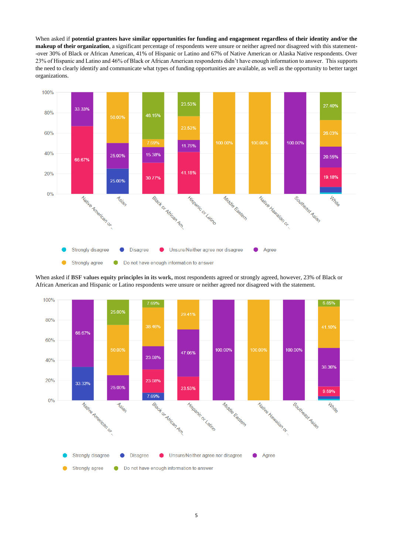When asked if **potential grantees have similar opportunities for funding and engagement regardless of their identity and/or the makeup of their organization**, a significant percentage of respondents were unsure or neither agreed nor disagreed with this statement- -over 30% of Black or African American, 41% of Hispanic or Latino and 67% of Native American or Alaska Native respondents. Over 23% of Hispanic and Latino and 46% of Black or African American respondents didn't have enough information to answer. This supports the need to clearly identify and communicate what types of funding opportunities are available, as well as the opportunity to better target organizations.



When asked if **BSF values equity principles in its work,** most respondents agreed or strongly agreed, however, 23% of Black or African American and Hispanic or Latino respondents were unsure or neither agreed nor disagreed with the statement.

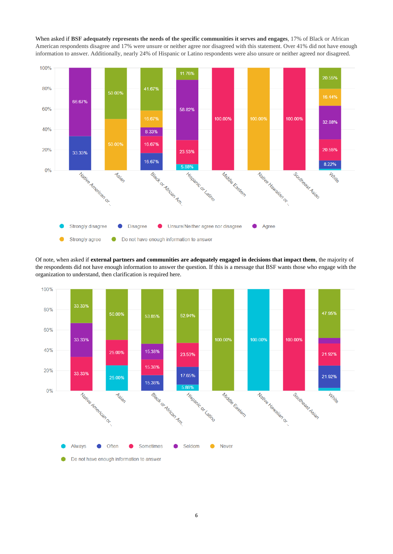When asked if **BSF adequately represents the needs of the specific communities it serves and engages**, 17% of Black or African American respondents disagree and 17% were unsure or neither agree nor disagreed with this statement. Over 41% did not have enough information to answer. Additionally, nearly 24% of Hispanic or Latino respondents were also unsure or neither agreed nor disagreed.



Of note, when asked if **external partners and communities are adequately engaged in decisions that impact them**, the majority of the respondents did not have enough information to answer the question. If this is a message that BSF wants those who engage with the organization to understand, then clarification is required here.